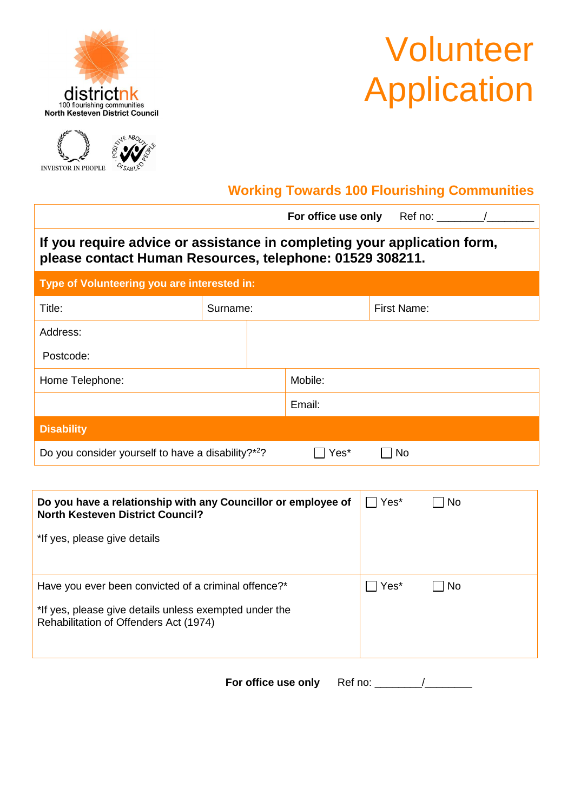

## Volunteer **Application**



## **Working Towards 100 Flourishing Communities**

|                                                                                                                                      |          |  | <b>For office use only</b> Ref no: |             |
|--------------------------------------------------------------------------------------------------------------------------------------|----------|--|------------------------------------|-------------|
| If you require advice or assistance in completing your application form,<br>please contact Human Resources, telephone: 01529 308211. |          |  |                                    |             |
| Type of Volunteering you are interested in:                                                                                          |          |  |                                    |             |
| Title:                                                                                                                               | Surname: |  |                                    | First Name: |
| Address:                                                                                                                             |          |  |                                    |             |
| Postcode:                                                                                                                            |          |  |                                    |             |
| Home Telephone:                                                                                                                      |          |  | Mobile:                            |             |
|                                                                                                                                      |          |  | Email:                             |             |
| <b>Disability</b>                                                                                                                    |          |  |                                    |             |
| Do you consider yourself to have a disability?* <sup>2</sup> ?                                                                       |          |  |                                    | No          |

| Do you have a relationship with any Councillor or employee of<br><b>North Kesteven District Council?</b><br>*If yes, please give details                 | Yes* | No.       |
|----------------------------------------------------------------------------------------------------------------------------------------------------------|------|-----------|
| Have you ever been convicted of a criminal offence?*<br>*If yes, please give details unless exempted under the<br>Rehabilitation of Offenders Act (1974) | Yes* | <b>No</b> |

**For office use only** Ref no: \_\_\_\_\_\_\_\_/\_\_\_\_\_\_\_\_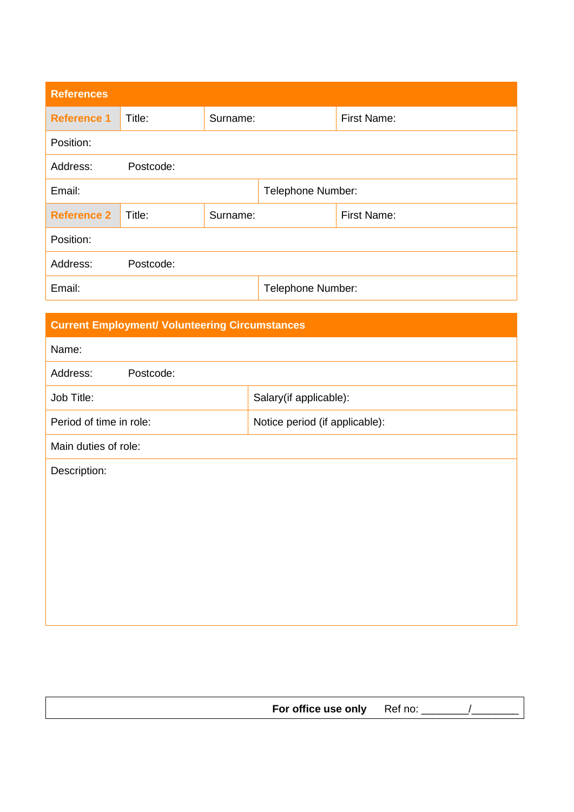| <b>References</b>  |                   |          |                   |                    |
|--------------------|-------------------|----------|-------------------|--------------------|
| <b>Reference 1</b> | Title:            | Surname: |                   | <b>First Name:</b> |
| Position:          |                   |          |                   |                    |
| Address:           | Postcode:         |          |                   |                    |
| Email:             | Telephone Number: |          |                   |                    |
| <b>Reference 2</b> | Title:            | Surname: |                   | <b>First Name:</b> |
| Position:          |                   |          |                   |                    |
| Address:           | Postcode:         |          |                   |                    |
| Email:             |                   |          | Telephone Number: |                    |

| <b>Current Employment/ Volunteering Circumstances</b> |                                |  |  |  |  |
|-------------------------------------------------------|--------------------------------|--|--|--|--|
| Name:                                                 |                                |  |  |  |  |
| Address:<br>Postcode:                                 |                                |  |  |  |  |
| Job Title:                                            | Salary(if applicable):         |  |  |  |  |
| Period of time in role:                               | Notice period (if applicable): |  |  |  |  |
| Main duties of role:                                  |                                |  |  |  |  |
| Description:                                          |                                |  |  |  |  |
|                                                       |                                |  |  |  |  |
|                                                       |                                |  |  |  |  |
|                                                       |                                |  |  |  |  |
|                                                       |                                |  |  |  |  |
|                                                       |                                |  |  |  |  |
|                                                       |                                |  |  |  |  |

| For office use only Ref no: |  |
|-----------------------------|--|
|                             |  |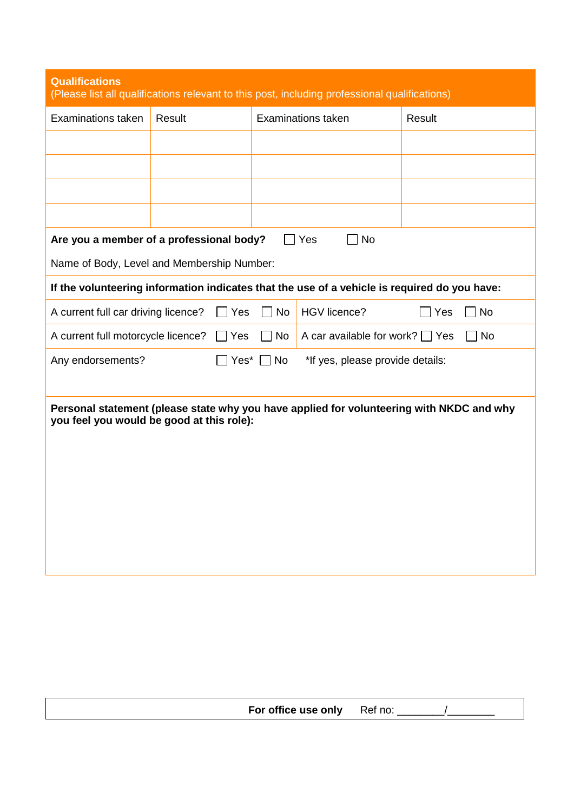| <b>Qualifications</b><br>(Please list all qualifications relevant to this post, including professional qualifications) |               |           |                                                                                              |                                                                                          |
|------------------------------------------------------------------------------------------------------------------------|---------------|-----------|----------------------------------------------------------------------------------------------|------------------------------------------------------------------------------------------|
| <b>Examinations taken</b>                                                                                              | Result        |           | <b>Examinations taken</b>                                                                    | Result                                                                                   |
|                                                                                                                        |               |           |                                                                                              |                                                                                          |
|                                                                                                                        |               |           |                                                                                              |                                                                                          |
|                                                                                                                        |               |           |                                                                                              |                                                                                          |
|                                                                                                                        |               |           |                                                                                              |                                                                                          |
| Are you a member of a professional body?                                                                               |               |           | No<br>Yes                                                                                    |                                                                                          |
| Name of Body, Level and Membership Number:                                                                             |               |           |                                                                                              |                                                                                          |
|                                                                                                                        |               |           | If the volunteering information indicates that the use of a vehicle is required do you have: |                                                                                          |
| A current full car driving licence?                                                                                    | Yes           | <b>No</b> | <b>HGV</b> licence?                                                                          | Yes<br><b>No</b>                                                                         |
| A current full motorcycle licence?                                                                                     | $\exists$ Yes | No        | A car available for work? $\Box$ Yes                                                         | □ No                                                                                     |
| Any endorsements?<br>*If yes, please provide details:<br>$Yes^*$ $\Box$ No                                             |               |           |                                                                                              |                                                                                          |
|                                                                                                                        |               |           |                                                                                              |                                                                                          |
| you feel you would be good at this role):                                                                              |               |           |                                                                                              | Personal statement (please state why you have applied for volunteering with NKDC and why |
|                                                                                                                        |               |           |                                                                                              |                                                                                          |
|                                                                                                                        |               |           |                                                                                              |                                                                                          |
|                                                                                                                        |               |           |                                                                                              |                                                                                          |
|                                                                                                                        |               |           |                                                                                              |                                                                                          |
|                                                                                                                        |               |           |                                                                                              |                                                                                          |
|                                                                                                                        |               |           |                                                                                              |                                                                                          |
|                                                                                                                        |               |           |                                                                                              |                                                                                          |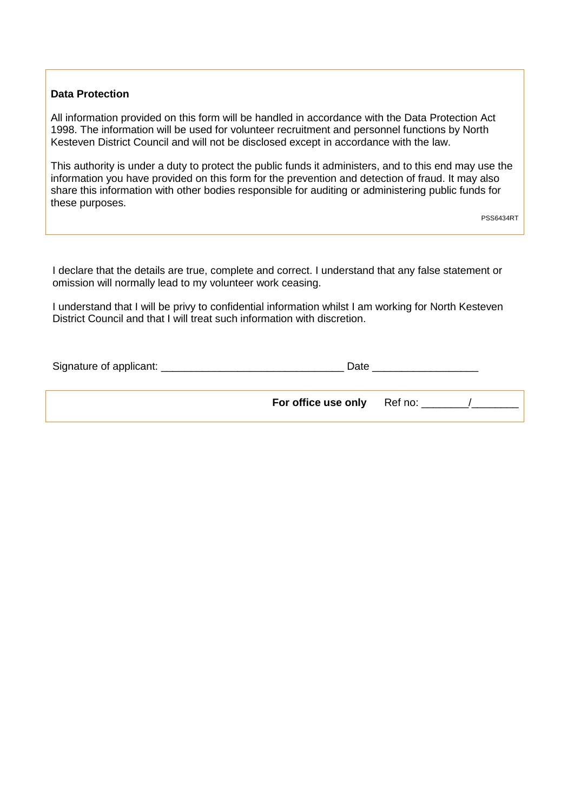## **Data Protection**

All information provided on this form will be handled in accordance with the Data Protection Act 1998. The information will be used for volunteer recruitment and personnel functions by North Kesteven District Council and will not be disclosed except in accordance with the law.

This authority is under a duty to protect the public funds it administers, and to this end may use the information you have provided on this form for the prevention and detection of fraud. It may also share this information with other bodies responsible for auditing or administering public funds for these purposes.

I declare that the details are true, complete and correct. I understand that any false statement or omission will normally lead to my volunteer work ceasing.

I understand that I will be privy to confidential information whilst I am working for North Kesteven District Council and that I will treat such information with discretion.

| Signature of applicant: | Date                |         |  |
|-------------------------|---------------------|---------|--|
|                         | For office use only | Ref no: |  |

PSS6434RT